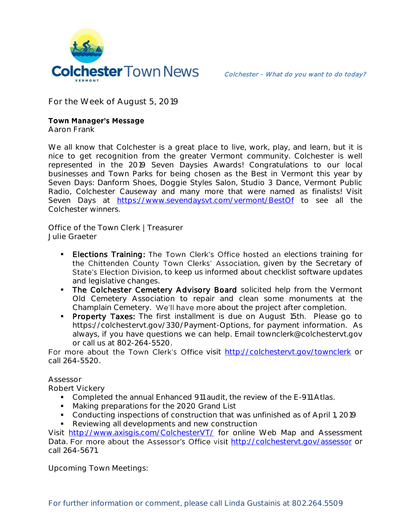

**For the Week of August 5, 2019**

## **Town Manager's Message**

**Aaron Frank**

We all know that Colchester is a great place to live, work, play, and learn, but it is nice to get recognition from the greater Vermont community. Colchester is well represented in the 2019 Seven Daysies Awards! Congratulations to our local businesses and Town Parks for being chosen as the Best in Vermont this year by Seven Days: Danform Shoes, Doggie Styles Salon, Studio 3 Dance, Vermont Public Radio, Colchester Causeway and many more that were named as finalists! Visit Seven Days at <https://www.sevendaysvt.com/vermont/BestOf> to see all the Colchester winners.

**Office of the Town Clerk | Treasurer Julie Graeter**

- **Elections Training: The Town Clerk's Office hosted an elections training for** the Chittenden County Town Clerks' Association, given by the Secretary of State's Election Division, to keep us informed about checklist software updates and legislative changes.
- The Colchester Cemetery Advisory Board solicited help from the Vermont Old Cemetery Association to repair and clean some monuments at the Champlain Cemetery. We'll have more about the project after completion.
- **Property Taxes:** The first installment is due on August 15th. Please go to https://colchestervt.gov/330/Payment-Options, for payment information. As always, if you have questions we can help. Email townclerk@colchestervt.gov or call us at 802-264-5520.

For more about the Town Clerk's Office visit <http://colchestervt.gov/townclerk> or call 264-5520.

**Assessor**

**Robert Vickery**

- Completed the annual Enhanced 911 audit, the review of the E-911 Atlas.
- Making preparations for the 2020 Grand List
- Conducting inspections of construction that was unfinished as of April 1, 2019
- **Reviewing all developments and new construction**

Visit <http://www.axisgis.com/ColchesterVT/> for online Web Map and Assessment Data. For more about the Assessor's Office visit <http://colchestervt.gov/assessor> or call 264-5671.

**Upcoming Town Meetings:**